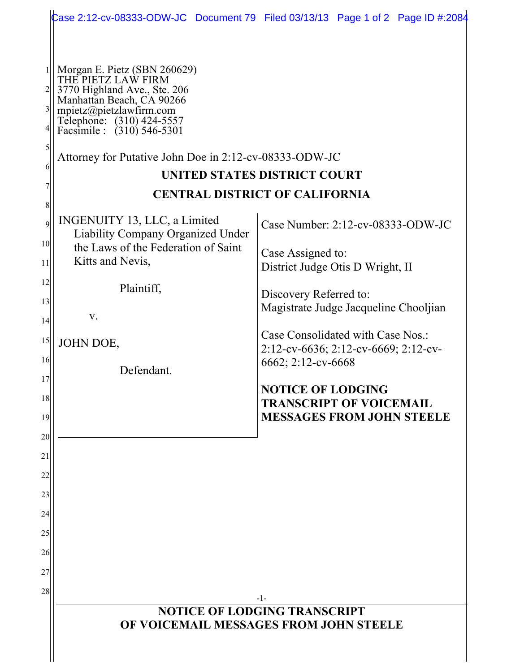|                                   |                                                                                                                                                                                                                                                                                   | Case 2:12-cv-08333-ODW-JC Document 79 Filed 03/13/13 Page 1 of 2 Page ID #:2084                |  |
|-----------------------------------|-----------------------------------------------------------------------------------------------------------------------------------------------------------------------------------------------------------------------------------------------------------------------------------|------------------------------------------------------------------------------------------------|--|
| $3\vert$<br>$\mathfrak{h}$<br>6   | <sup>1</sup>    Morgan E. Pietz (SBN 260629)<br>  THE PIETZ LAW FIRM<br>3770 Highland Ave., Ste. 206<br>Manhattan Beach, CA 90266<br>mpietz@pietzlawfirm.com<br>Telephone: (310) 424-5557<br>Facsimile : (310) 546-5301<br>Attorney for Putative John Doe in 2:12-cv-08333-ODW-JC | <b>UNITED STATES DISTRICT COURT</b><br><b>CENTRAL DISTRICT OF CALIFORNIA</b>                   |  |
| 8                                 | INGENUITY 13, LLC, a Limited                                                                                                                                                                                                                                                      |                                                                                                |  |
| $\overline{9}$<br>10 <sup>1</sup> | <b>Liability Company Organized Under</b>                                                                                                                                                                                                                                          | Case Number: $2:12$ -cv-08333-ODW-JC                                                           |  |
| 11                                | the Laws of the Federation of Saint<br>Kitts and Nevis,                                                                                                                                                                                                                           | Case Assigned to:<br>District Judge Otis D Wright, II                                          |  |
| 12                                | Plaintiff,                                                                                                                                                                                                                                                                        | Discovery Referred to:                                                                         |  |
| 13<br> 14                         | V.                                                                                                                                                                                                                                                                                | Magistrate Judge Jacqueline Chooljian                                                          |  |
| 15                                | JOHN DOE,                                                                                                                                                                                                                                                                         | Case Consolidated with Case Nos.:<br>2:12-cv-6636; 2:12-cv-6669; 2:12-cv-                      |  |
| 16<br>17                          | Defendant.                                                                                                                                                                                                                                                                        | 6662; 2:12-cv-6668                                                                             |  |
| 18<br>19                          |                                                                                                                                                                                                                                                                                   | <b>NOTICE OF LODGING</b><br><b>TRANSCRIPT OF VOICEMAIL</b><br><b>MESSAGES FROM JOHN STEELE</b> |  |
| 20                                |                                                                                                                                                                                                                                                                                   |                                                                                                |  |
| 21                                |                                                                                                                                                                                                                                                                                   |                                                                                                |  |
| 22<br>23                          |                                                                                                                                                                                                                                                                                   |                                                                                                |  |
| 24                                |                                                                                                                                                                                                                                                                                   |                                                                                                |  |
| 25                                |                                                                                                                                                                                                                                                                                   |                                                                                                |  |
| 26                                |                                                                                                                                                                                                                                                                                   |                                                                                                |  |
| 27<br>28                          |                                                                                                                                                                                                                                                                                   |                                                                                                |  |
|                                   | $-1-$<br><b>NOTICE OF LODGING TRANSCRIPT</b><br>OF VOICEMAIL MESSAGES FROM JOHN STEELE                                                                                                                                                                                            |                                                                                                |  |
|                                   |                                                                                                                                                                                                                                                                                   |                                                                                                |  |